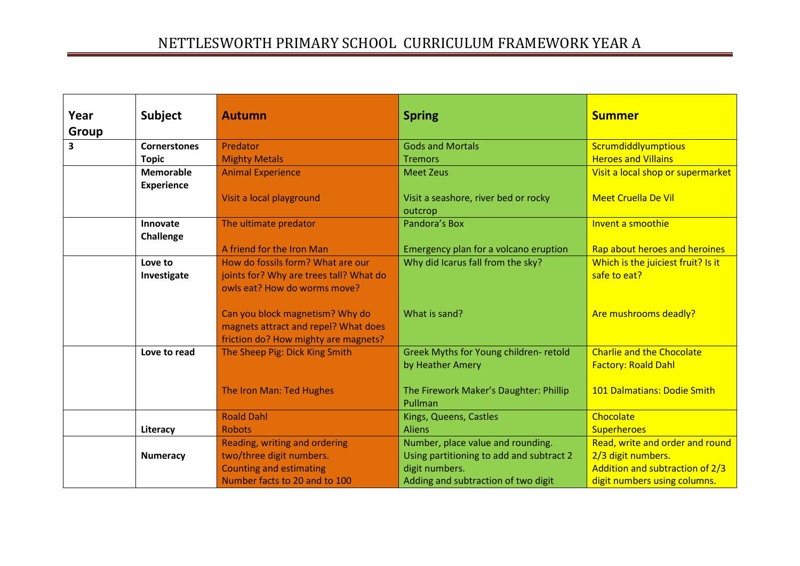| Year  | <b>Subject</b>      | <b>Autumn</b>                           | <b>Spring</b>                            | <b>Summer</b>                      |
|-------|---------------------|-----------------------------------------|------------------------------------------|------------------------------------|
| Group |                     |                                         |                                          |                                    |
| 3     | <b>Cornerstones</b> | Predator                                | <b>Gods and Mortals</b>                  | Scrumdiddlyumptious                |
|       | <b>Topic</b>        | <b>Mighty Metals</b>                    | <b>Tremors</b>                           | <b>Heroes and Villains</b>         |
|       | <b>Memorable</b>    | <b>Animal Experience</b>                | <b>Meet Zeus</b>                         | Visit a local shop or supermarket  |
|       | <b>Experience</b>   |                                         |                                          |                                    |
|       |                     | Visit a local playground                | Visit a seashore, river bed or rocky     | <b>Meet Cruella De Vil</b>         |
|       |                     |                                         | outcrop                                  |                                    |
|       | Innovate            | The ultimate predator                   | Pandora's Box                            | Invent a smoothie                  |
|       | Challenge           |                                         |                                          |                                    |
|       |                     | A friend for the Iron Man               | Emergency plan for a volcano eruption    | Rap about heroes and heroines      |
|       | Love to             | How do fossils form? What are our       | Why did Icarus fall from the sky?        | Which is the juiciest fruit? Is it |
|       | Investigate         | joints for? Why are trees tall? What do |                                          | safe to eat?                       |
|       |                     | owls eat? How do worms move?            |                                          |                                    |
|       |                     |                                         |                                          |                                    |
|       |                     | Can you block magnetism? Why do         | What is sand?                            | Are mushrooms deadly?              |
|       |                     | magnets attract and repel? What does    |                                          |                                    |
|       |                     | friction do? How mighty are magnets?    |                                          |                                    |
|       | Love to read        | The Sheep Pig: Dick King Smith          | Greek Myths for Young children-retold    | <b>Charlie and the Chocolate</b>   |
|       |                     |                                         | by Heather Amery                         | <b>Factory: Roald Dahl</b>         |
|       |                     |                                         |                                          |                                    |
|       |                     | The Iron Man: Ted Hughes                | The Firework Maker's Daughter: Phillip   | 101 Dalmatians: Dodie Smith        |
|       |                     |                                         | Pullman                                  |                                    |
|       |                     | <b>Roald Dahl</b>                       | Kings, Queens, Castles                   | Chocolate                          |
|       | Literacy            | <b>Robots</b>                           | <b>Aliens</b>                            | <b>Superheroes</b>                 |
|       |                     | Reading, writing and ordering           | Number, place value and rounding.        | Read, write and order and round    |
|       | <b>Numeracy</b>     | two/three digit numbers.                | Using partitioning to add and subtract 2 | 2/3 digit numbers.                 |
|       |                     | <b>Counting and estimating</b>          | digit numbers.                           | Addition and subtraction of 2/3    |
|       |                     | Number facts to 20 and to 100           | Adding and subtraction of two digit      | digit numbers using columns.       |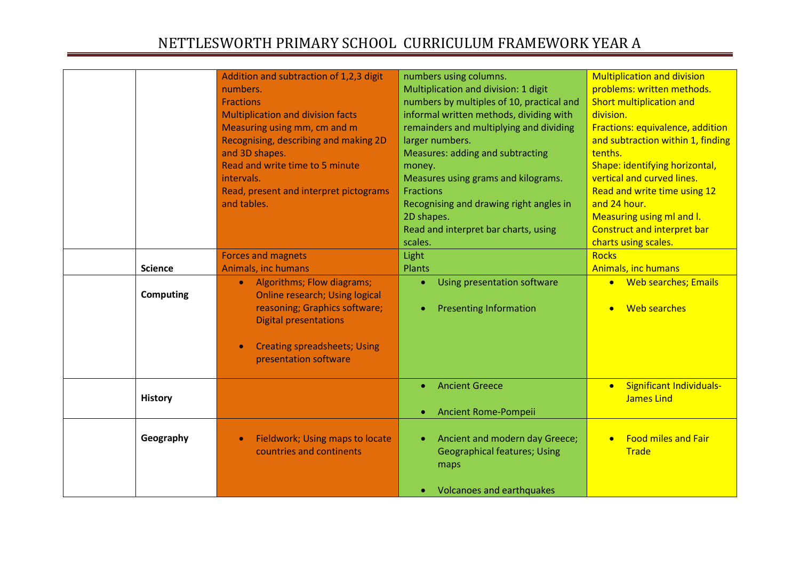|                  | Addition and subtraction of 1,2,3 digit                                                                                                           | numbers using columns.                                                        | <b>Multiplication and division</b>                                |
|------------------|---------------------------------------------------------------------------------------------------------------------------------------------------|-------------------------------------------------------------------------------|-------------------------------------------------------------------|
|                  | numbers.                                                                                                                                          | Multiplication and division: 1 digit                                          | problems: written methods.                                        |
|                  | <b>Fractions</b>                                                                                                                                  | numbers by multiples of 10, practical and                                     | Short multiplication and                                          |
|                  | <b>Multiplication and division facts</b>                                                                                                          | informal written methods, dividing with                                       | division.                                                         |
|                  | Measuring using mm, cm and m                                                                                                                      | remainders and multiplying and dividing                                       | Fractions: equivalence, addition                                  |
|                  | Recognising, describing and making 2D                                                                                                             | larger numbers.                                                               | and subtraction within 1, finding                                 |
|                  | and 3D shapes.                                                                                                                                    | <b>Measures: adding and subtracting</b>                                       | tenths.                                                           |
|                  | Read and write time to 5 minute                                                                                                                   | money.                                                                        | Shape: identifying horizontal,                                    |
|                  | intervals.                                                                                                                                        | Measures using grams and kilograms.                                           | vertical and curved lines.                                        |
|                  | Read, present and interpret pictograms                                                                                                            | <b>Fractions</b>                                                              | Read and write time using 12                                      |
|                  | and tables.                                                                                                                                       | Recognising and drawing right angles in                                       | and 24 hour.                                                      |
|                  |                                                                                                                                                   | 2D shapes.                                                                    | Measuring using ml and I.                                         |
|                  |                                                                                                                                                   |                                                                               | <b>Construct and interpret bar</b>                                |
|                  |                                                                                                                                                   | Read and interpret bar charts, using<br>scales.                               |                                                                   |
|                  |                                                                                                                                                   |                                                                               | charts using scales.<br><b>Rocks</b>                              |
|                  | <b>Forces and magnets</b>                                                                                                                         | Light                                                                         |                                                                   |
| <b>Science</b>   | Animals, inc humans                                                                                                                               | <b>Plants</b>                                                                 | <b>Animals, inc humans</b>                                        |
| <b>Computing</b> | Algorithms; Flow diagrams;<br>$\bullet$<br><b>Online research; Using logical</b><br>reasoning; Graphics software;<br><b>Digital presentations</b> | Using presentation software<br><b>Presenting Information</b>                  | • Web searches; Emails<br><b>Web searches</b>                     |
|                  | <b>Creating spreadsheets; Using</b><br>presentation software                                                                                      |                                                                               |                                                                   |
| <b>History</b>   |                                                                                                                                                   | <b>Ancient Greece</b>                                                         | <b>Significant Individuals-</b><br>$\bullet$<br><b>James Lind</b> |
|                  |                                                                                                                                                   | Ancient Rome-Pompeii                                                          |                                                                   |
| Geography        | Fieldwork; Using maps to locate<br>countries and continents                                                                                       | Ancient and modern day Greece;<br><b>Geographical features; Using</b><br>maps | <b>Food miles and Fair</b><br><b>Trade</b>                        |
|                  |                                                                                                                                                   | <b>Volcanoes and earthquakes</b>                                              |                                                                   |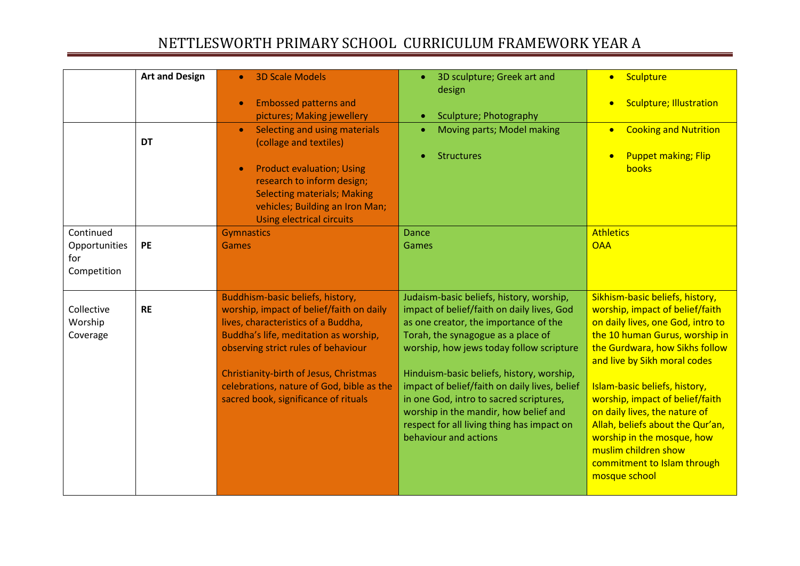|                                                  | <b>Art and Design</b> | <b>3D Scale Models</b>                                                                                                                                                                                                                                                                                                             | 3D sculpture; Greek art and<br>$\bullet$<br>design                                                                                                                                                                                                                                                                                                                                                                                                                         | Sculpture<br>$\bullet$                                                                                                                                                                                                                                                                                                                                                                                                                                     |
|--------------------------------------------------|-----------------------|------------------------------------------------------------------------------------------------------------------------------------------------------------------------------------------------------------------------------------------------------------------------------------------------------------------------------------|----------------------------------------------------------------------------------------------------------------------------------------------------------------------------------------------------------------------------------------------------------------------------------------------------------------------------------------------------------------------------------------------------------------------------------------------------------------------------|------------------------------------------------------------------------------------------------------------------------------------------------------------------------------------------------------------------------------------------------------------------------------------------------------------------------------------------------------------------------------------------------------------------------------------------------------------|
|                                                  |                       | <b>Embossed patterns and</b><br>pictures; Making jewellery                                                                                                                                                                                                                                                                         | Sculpture; Photography<br>$\bullet$                                                                                                                                                                                                                                                                                                                                                                                                                                        | <b>Sculpture; Illustration</b><br>$\bullet$                                                                                                                                                                                                                                                                                                                                                                                                                |
|                                                  | <b>DT</b>             | Selecting and using materials<br>(collage and textiles)                                                                                                                                                                                                                                                                            | Moving parts; Model making<br>$\bullet$                                                                                                                                                                                                                                                                                                                                                                                                                                    | <b>Cooking and Nutrition</b><br>$\bullet$                                                                                                                                                                                                                                                                                                                                                                                                                  |
|                                                  |                       | <b>Product evaluation; Using</b><br>research to inform design;<br><b>Selecting materials; Making</b><br>vehicles; Building an Iron Man;<br><b>Using electrical circuits</b>                                                                                                                                                        | <b>Structures</b>                                                                                                                                                                                                                                                                                                                                                                                                                                                          | <b>Puppet making; Flip</b><br>books                                                                                                                                                                                                                                                                                                                                                                                                                        |
| Continued<br>Opportunities<br>for<br>Competition | PE                    | <b>Gymnastics</b><br><b>Games</b>                                                                                                                                                                                                                                                                                                  | <b>Dance</b><br>Games                                                                                                                                                                                                                                                                                                                                                                                                                                                      | <b>Athletics</b><br><b>OAA</b>                                                                                                                                                                                                                                                                                                                                                                                                                             |
| Collective<br>Worship<br>Coverage                | <b>RE</b>             | Buddhism-basic beliefs, history,<br>worship, impact of belief/faith on daily<br>lives, characteristics of a Buddha,<br>Buddha's life, meditation as worship,<br>observing strict rules of behaviour<br>Christianity-birth of Jesus, Christmas<br>celebrations, nature of God, bible as the<br>sacred book, significance of rituals | Judaism-basic beliefs, history, worship,<br>impact of belief/faith on daily lives, God<br>as one creator, the importance of the<br>Torah, the synagogue as a place of<br>worship, how jews today follow scripture<br>Hinduism-basic beliefs, history, worship,<br>impact of belief/faith on daily lives, belief<br>in one God, intro to sacred scriptures,<br>worship in the mandir, how belief and<br>respect for all living thing has impact on<br>behaviour and actions | Sikhism-basic beliefs, history,<br>worship, impact of belief/faith<br>on daily lives, one God, intro to<br>the 10 human Gurus, worship in<br>the Gurdwara, how Sikhs follow<br>and live by Sikh moral codes<br>Islam-basic beliefs, history,<br>worship, impact of belief/faith<br>on daily lives, the nature of<br>Allah, beliefs about the Qur'an,<br>worship in the mosque, how<br>muslim children show<br>commitment to Islam through<br>mosque school |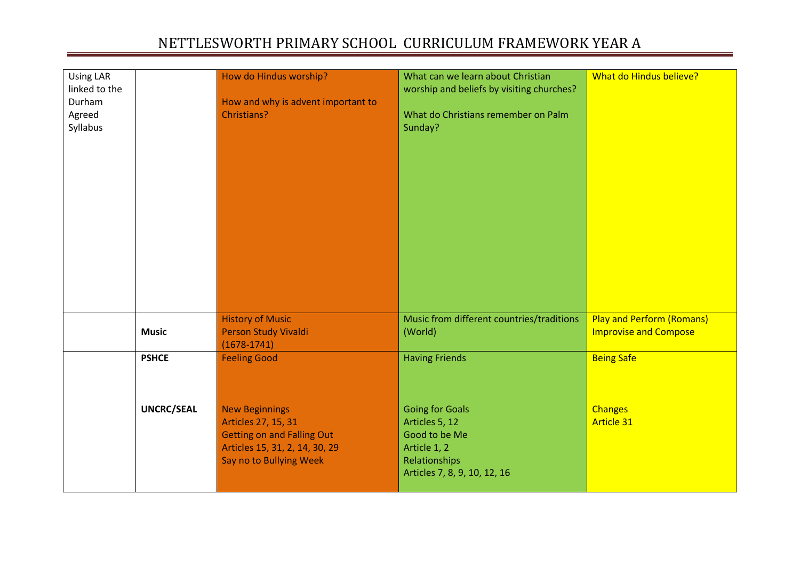| <b>Using LAR</b><br>linked to the<br>Durham<br>Agreed<br>Syllabus |                   | How do Hindus worship?<br>How and why is advent important to<br>Christians?                                                                    | What can we learn about Christian<br>worship and beliefs by visiting churches?<br>What do Christians remember on Palm<br>Sunday? | What do Hindus believe?                                          |
|-------------------------------------------------------------------|-------------------|------------------------------------------------------------------------------------------------------------------------------------------------|----------------------------------------------------------------------------------------------------------------------------------|------------------------------------------------------------------|
|                                                                   |                   |                                                                                                                                                |                                                                                                                                  |                                                                  |
|                                                                   | <b>Music</b>      | <b>History of Music</b><br>Person Study Vivaldi<br>$(1678 - 1741)$                                                                             | Music from different countries/traditions<br>(World)                                                                             | <b>Play and Perform (Romans)</b><br><b>Improvise and Compose</b> |
|                                                                   | <b>PSHCE</b>      | <b>Feeling Good</b>                                                                                                                            | <b>Having Friends</b>                                                                                                            | <b>Being Safe</b>                                                |
|                                                                   | <b>UNCRC/SEAL</b> | <b>New Beginnings</b><br>Articles 27, 15, 31<br><b>Getting on and Falling Out</b><br>Articles 15, 31, 2, 14, 30, 29<br>Say no to Bullying Week | <b>Going for Goals</b><br>Articles 5, 12<br>Good to be Me<br>Article 1, 2<br>Relationships<br>Articles 7, 8, 9, 10, 12, 16       | <b>Changes</b><br><b>Article 31</b>                              |